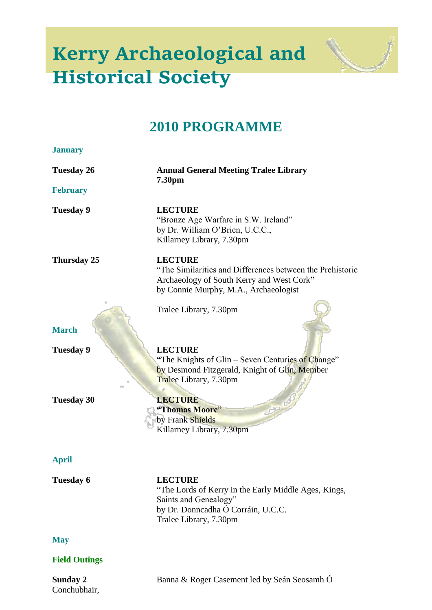## **Kerry Archaeological and Historical Society**



## **2010 PROGRAMME**

| <b>January</b>       |                                                                                                                                                                   |
|----------------------|-------------------------------------------------------------------------------------------------------------------------------------------------------------------|
| <b>Tuesday 26</b>    | <b>Annual General Meeting Tralee Library</b><br>7.30pm                                                                                                            |
| <b>February</b>      |                                                                                                                                                                   |
| <b>Tuesday 9</b>     | <b>LECTURE</b><br>"Bronze Age Warfare in S.W. Ireland"<br>by Dr. William O'Brien, U.C.C.,<br>Killarney Library, 7.30pm                                            |
| Thursday 25          | <b>LECTURE</b><br>"The Similarities and Differences between the Prehistoric<br>Archaeology of South Kerry and West Cork"<br>by Connie Murphy, M.A., Archaeologist |
|                      | Tralee Library, 7.30pm                                                                                                                                            |
| <b>March</b>         |                                                                                                                                                                   |
| <b>Tuesday 9</b>     | <b>LECTURE</b><br>"The Knights of Glin – Seven Centuries of Change"<br>by Desmond Fitzgerald, Knight of Glin, Member<br>Tralee Library, 7.30pm                    |
| <b>Tuesday 30</b>    | <b>LECTURE</b><br>"Thomas Moore"<br>by Frank Shields<br>Killarney Library, 7.30pm                                                                                 |
| <b>April</b>         |                                                                                                                                                                   |
| <b>Tuesday 6</b>     | <b>LECTURE</b><br>"The Lords of Kerry in the Early Middle Ages, Kings,<br>Saints and Genealogy"<br>by Dr. Donncadha Ó Corráin, U.C.C.<br>Tralee Library, 7.30pm   |
| <b>May</b>           |                                                                                                                                                                   |
| <b>Field Outings</b> |                                                                                                                                                                   |

Conchubhair,

**Sunday 2** Banna & Roger Casement led by Seán Seosamh Ó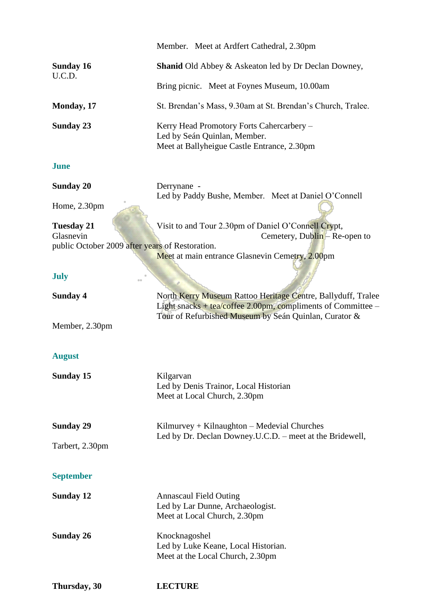|                                                 | Member. Meet at Ardfert Cathedral, 2.30pm                                                                                                                                             |
|-------------------------------------------------|---------------------------------------------------------------------------------------------------------------------------------------------------------------------------------------|
| <b>Sunday 16</b><br>U.C.D.                      | <b>Shanid Old Abbey &amp; Askeaton led by Dr Declan Downey,</b>                                                                                                                       |
|                                                 | Bring picnic. Meet at Foynes Museum, 10.00am                                                                                                                                          |
| Monday, 17                                      | St. Brendan's Mass, 9.30am at St. Brendan's Church, Tralee.                                                                                                                           |
| <b>Sunday 23</b>                                | Kerry Head Promotory Forts Cahercarbery -<br>Led by Seán Quinlan, Member.<br>Meet at Ballyheigue Castle Entrance, 2.30pm                                                              |
| <b>June</b>                                     |                                                                                                                                                                                       |
| <b>Sunday 20</b>                                | Derrynane -<br>Led by Paddy Bushe, Member. Meet at Daniel O'Connell                                                                                                                   |
| Home, 2.30pm                                    |                                                                                                                                                                                       |
| <b>Tuesday 21</b><br>Glasnevin                  | Visit to and Tour 2.30pm of Daniel O'Connell Crypt,<br>Cemetery, Dublin – Re-open to                                                                                                  |
| public October 2009 after years of Restoration. | Meet at main entrance Glasnevin Cemetry, 2.00pm                                                                                                                                       |
| <b>July</b>                                     |                                                                                                                                                                                       |
| <b>Sunday 4</b>                                 | North Kerry Museum Rattoo Heritage Centre, Ballyduff, Tralee<br>Light snacks + tea/coffee 2.00pm, compliments of Committee -<br>Tour of Refurbished Museum by Seán Quinlan, Curator & |
| Member, 2.30pm                                  |                                                                                                                                                                                       |
| <b>August</b>                                   |                                                                                                                                                                                       |
| <b>Sunday 15</b>                                | Kilgarvan<br>Led by Denis Trainor, Local Historian<br>Meet at Local Church, 2.30pm                                                                                                    |
| <b>Sunday 29</b>                                | $Kilmurvey + Kilnaughton - Medeval Churches$                                                                                                                                          |
| Tarbert, 2.30pm                                 | Led by Dr. Declan Downey.U.C.D. – meet at the Bridewell,                                                                                                                              |
| <b>September</b>                                |                                                                                                                                                                                       |
| <b>Sunday 12</b>                                | <b>Annascaul Field Outing</b><br>Led by Lar Dunne, Archaeologist.<br>Meet at Local Church, 2.30pm                                                                                     |
| <b>Sunday 26</b>                                | Knocknagoshel<br>Led by Luke Keane, Local Historian.<br>Meet at the Local Church, 2.30pm                                                                                              |

**Thursday, 30 LECTURE**